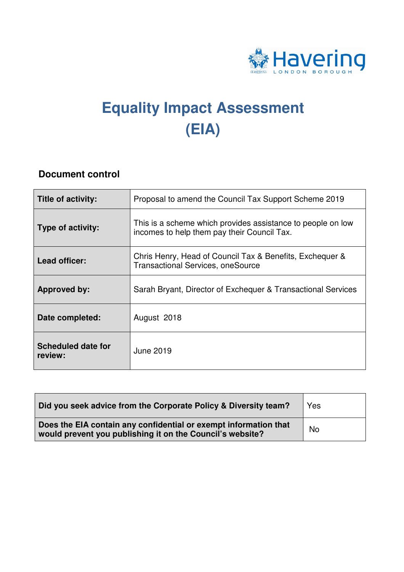

# **Equality Impact Assessment (EIA)**

#### **Document control**

| Title of activity:                   | Proposal to amend the Council Tax Support Scheme 2019                                                      |
|--------------------------------------|------------------------------------------------------------------------------------------------------------|
| <b>Type of activity:</b>             | This is a scheme which provides assistance to people on low<br>incomes to help them pay their Council Tax. |
| Lead officer:                        | Chris Henry, Head of Council Tax & Benefits, Exchequer &<br><b>Transactional Services, oneSource</b>       |
| <b>Approved by:</b>                  | Sarah Bryant, Director of Exchequer & Transactional Services                                               |
| Date completed:                      | August 2018                                                                                                |
| <b>Scheduled date for</b><br>review: | <b>June 2019</b>                                                                                           |

| Did you seek advice from the Corporate Policy & Diversity team?                                                               | Yes |
|-------------------------------------------------------------------------------------------------------------------------------|-----|
| Does the EIA contain any confidential or exempt information that<br>would prevent you publishing it on the Council's website? | No  |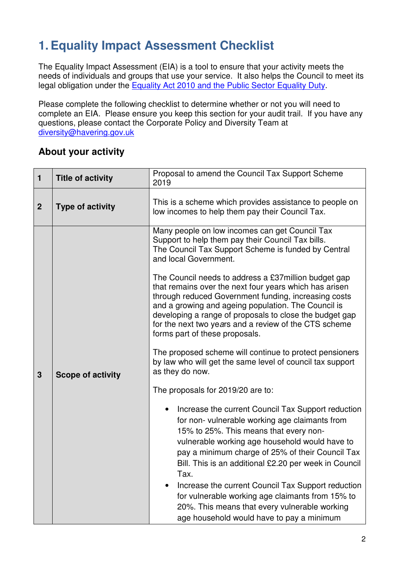# **1. Equality Impact Assessment Checklist**

 The Equality Impact Assessment (EIA) is a tool to ensure that your activity meets the needs of individuals and groups that use your service. It also helps the Council to meet its legal obligation under the Equality Act 2010 and the Public Sector Equality Duty.

 Please complete the following checklist to determine whether or not you will need to complete an EIA. Please ensure you keep this section for your audit trail. If you have any questions, please contact the Corporate Policy and Diversity Team at diversity@havering.gov.uk

### **About your activity**

| $\mathbf{1}$     | <b>Title of activity</b> | Proposal to amend the Council Tax Support Scheme<br>2019                                                                                                                                                                                                                                                                                                                                                                                                                                                                     |
|------------------|--------------------------|------------------------------------------------------------------------------------------------------------------------------------------------------------------------------------------------------------------------------------------------------------------------------------------------------------------------------------------------------------------------------------------------------------------------------------------------------------------------------------------------------------------------------|
| $\boldsymbol{2}$ | <b>Type of activity</b>  | This is a scheme which provides assistance to people on<br>low incomes to help them pay their Council Tax.                                                                                                                                                                                                                                                                                                                                                                                                                   |
|                  |                          | Many people on low incomes can get Council Tax<br>Support to help them pay their Council Tax bills.<br>The Council Tax Support Scheme is funded by Central<br>and local Government.                                                                                                                                                                                                                                                                                                                                          |
|                  |                          | The Council needs to address a £37 million budget gap<br>that remains over the next four years which has arisen<br>through reduced Government funding, increasing costs<br>and a growing and ageing population. The Council is<br>developing a range of proposals to close the budget gap<br>for the next two years and a review of the CTS scheme<br>forms part of these proposals.                                                                                                                                         |
| $\mathbf{3}$     | <b>Scope of activity</b> | The proposed scheme will continue to protect pensioners<br>by law who will get the same level of council tax support<br>as they do now.                                                                                                                                                                                                                                                                                                                                                                                      |
|                  |                          | The proposals for 2019/20 are to:                                                                                                                                                                                                                                                                                                                                                                                                                                                                                            |
|                  |                          | Increase the current Council Tax Support reduction<br>for non-vulnerable working age claimants from<br>15% to 25%. This means that every non-<br>vulnerable working age household would have to<br>pay a minimum charge of 25% of their Council Tax<br>Bill. This is an additional £2.20 per week in Council<br>Tax.<br>Increase the current Council Tax Support reduction<br>for vulnerable working age claimants from 15% to<br>20%. This means that every vulnerable working<br>age household would have to pay a minimum |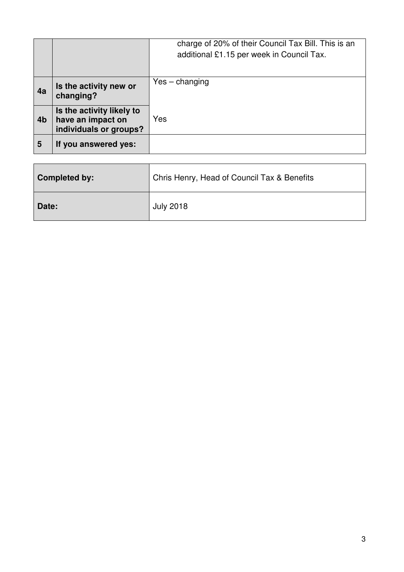|                |                                                                          | charge of 20% of their Council Tax Bill. This is an<br>additional £1.15 per week in Council Tax. |
|----------------|--------------------------------------------------------------------------|--------------------------------------------------------------------------------------------------|
| 4a             | Is the activity new or<br>changing?                                      | $Yes - changing$                                                                                 |
| 4 <sub>b</sub> | Is the activity likely to<br>have an impact on<br>individuals or groups? | Yes                                                                                              |
| 5              | If you answered yes:                                                     |                                                                                                  |

| <b>Completed by:</b> | Chris Henry, Head of Council Tax & Benefits |
|----------------------|---------------------------------------------|
| Date:                | <b>July 2018</b>                            |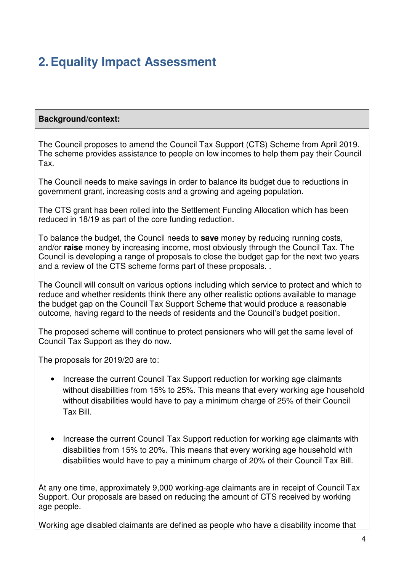# **2. Equality Impact Assessment**

#### **Background/context:**

 The Council proposes to amend the Council Tax Support (CTS) Scheme from April 2019. The scheme provides assistance to people on low incomes to help them pay their Council Tax.

 The Council needs to make savings in order to balance its budget due to reductions in government grant, increasing costs and a growing and ageing population.

 The CTS grant has been rolled into the Settlement Funding Allocation which has been reduced in 18/19 as part of the core funding reduction.

 To balance the budget, the Council needs to **save** money by reducing running costs, and/or **raise** money by increasing income, most obviously through the Council Tax. The Council is developing a range of proposals to close the budget gap for the next two years and a review of the CTS scheme forms part of these proposals. .

 The Council will consult on various options including which service to protect and which to reduce and whether residents think there any other realistic options available to manage the budget gap on the Council Tax Support Scheme that would produce a reasonable outcome, having regard to the needs of residents and the Council's budget position.

 The proposed scheme will continue to protect pensioners who will get the same level of Council Tax Support as they do now.

The proposals for 2019/20 are to:

- without disabilities from 15% to 25%. This means that every working age household without disabilities would have to pay a minimum charge of 25% of their Council Tax Bill. • Increase the current Council Tax Support reduction for working age claimants
- $\bullet$  disabilities from 15% to 20%. This means that every working age household with disabilities would have to pay a minimum charge of 20% of their Council Tax Bill. • Increase the current Council Tax Support reduction for working age claimants with

 At any one time, approximately 9,000 working-age claimants are in receipt of Council Tax Support. Our proposals are based on reducing the amount of CTS received by working age people.

Working age disabled claimants are defined as people who have a disability income that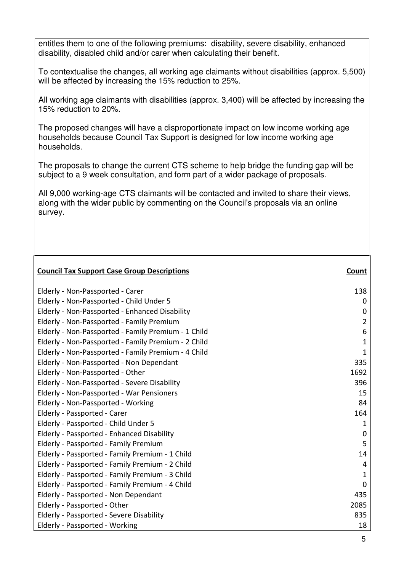entitles them to one of the following premiums: disability, severe disability, enhanced disability, disabled child and/or carer when calculating their benefit.

 To contextualise the changes, all working age claimants without disabilities (approx. 5,500) will be affected by increasing the 15% reduction to 25%.

 All working age claimants with disabilities (approx. 3,400) will be affected by increasing the 15% reduction to 20%.

 The proposed changes will have a disproportionate impact on low income working age households because Council Tax Support is designed for low income working age households.

households.<br>The proposals to change the current CTS scheme to help bridge the funding gap will be subject to a 9 week consultation, and form part of a wider package of proposals.

 All 9,000 working-age CTS claimants will be contacted and invited to share their views, along with the wider public by commenting on the Council's proposals via an online survey.

| <b>Council Tax Support Case Group Descriptions</b>  | <b>Count</b> |
|-----------------------------------------------------|--------------|
| Elderly - Non-Passported - Carer                    | 138          |
| Elderly - Non-Passported - Child Under 5            | 0            |
| Elderly - Non-Passported - Enhanced Disability      | 0            |
| Elderly - Non-Passported - Family Premium           | 2            |
| Elderly - Non-Passported - Family Premium - 1 Child | 6            |
| Elderly - Non-Passported - Family Premium - 2 Child | 1            |
| Elderly - Non-Passported - Family Premium - 4 Child | 1            |
| Elderly - Non-Passported - Non Dependant            | 335          |
| Elderly - Non-Passported - Other                    | 1692         |
| Elderly - Non-Passported - Severe Disability        | 396          |
| Elderly - Non-Passported - War Pensioners           | 15           |
| Elderly - Non-Passported - Working                  | 84           |
| Elderly - Passported - Carer                        | 164          |
| Elderly - Passported - Child Under 5                | 1            |
| Elderly - Passported - Enhanced Disability          | $\mathbf 0$  |
| Elderly - Passported - Family Premium               | 5            |
| Elderly - Passported - Family Premium - 1 Child     | 14           |
| Elderly - Passported - Family Premium - 2 Child     | 4            |
| Elderly - Passported - Family Premium - 3 Child     | 1            |
| Elderly - Passported - Family Premium - 4 Child     | $\mathbf 0$  |
| Elderly - Passported - Non Dependant                | 435          |
| Elderly - Passported - Other                        | 2085         |
| Elderly - Passported - Severe Disability            | 835          |
| Elderly - Passported - Working                      | 18           |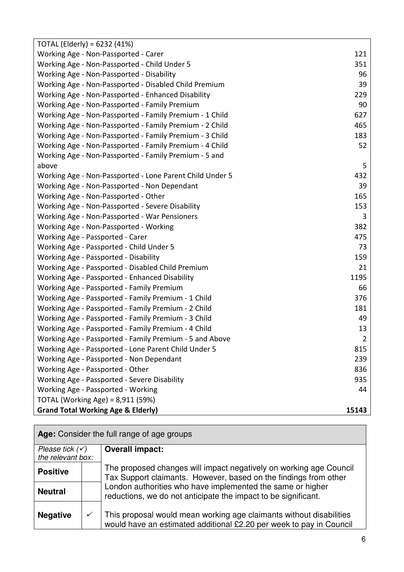| TOTAL (Elderly) = $6232$ (41%)                           |                |
|----------------------------------------------------------|----------------|
| Working Age - Non-Passported - Carer                     | 121            |
| Working Age - Non-Passported - Child Under 5             | 351            |
| Working Age - Non-Passported - Disability                | 96             |
| Working Age - Non-Passported - Disabled Child Premium    | 39             |
| Working Age - Non-Passported - Enhanced Disability       | 229            |
| Working Age - Non-Passported - Family Premium            | 90             |
| Working Age - Non-Passported - Family Premium - 1 Child  | 627            |
| Working Age - Non-Passported - Family Premium - 2 Child  | 465            |
| Working Age - Non-Passported - Family Premium - 3 Child  | 183            |
| Working Age - Non-Passported - Family Premium - 4 Child  | 52             |
| Working Age - Non-Passported - Family Premium - 5 and    |                |
| above                                                    | 5              |
| Working Age - Non-Passported - Lone Parent Child Under 5 | 432            |
| Working Age - Non-Passported - Non Dependant             | 39             |
| Working Age - Non-Passported - Other                     | 165            |
| Working Age - Non-Passported - Severe Disability         | 153            |
| Working Age - Non-Passported - War Pensioners            | 3              |
| Working Age - Non-Passported - Working                   | 382            |
| Working Age - Passported - Carer                         | 475            |
| Working Age - Passported - Child Under 5                 | 73             |
| Working Age - Passported - Disability                    | 159            |
| Working Age - Passported - Disabled Child Premium        | 21             |
| Working Age - Passported - Enhanced Disability           | 1195           |
| Working Age - Passported - Family Premium                | 66             |
| Working Age - Passported - Family Premium - 1 Child      | 376            |
| Working Age - Passported - Family Premium - 2 Child      | 181            |
| Working Age - Passported - Family Premium - 3 Child      | 49             |
| Working Age - Passported - Family Premium - 4 Child      | 13             |
| Working Age - Passported - Family Premium - 5 and Above  | $\overline{2}$ |
| Working Age - Passported - Lone Parent Child Under 5     | 815            |
| Working Age - Passported - Non Dependant                 | 239            |
| Working Age - Passported - Other                         | 836            |
| Working Age - Passported - Severe Disability             | 935            |
| Working Age - Passported - Working                       | 44             |
| TOTAL (Working Age) = 8,911 (59%)                        |                |
| <b>Grand Total Working Age &amp; Elderly)</b>            | 15143          |

| Age: Consider the full range of age groups |  |                                                                                                                                            |
|--------------------------------------------|--|--------------------------------------------------------------------------------------------------------------------------------------------|
| Please tick $(\checkmark)$                 |  | <b>Overall impact:</b>                                                                                                                     |
| the relevant box:                          |  |                                                                                                                                            |
| <b>Positive</b>                            |  | The proposed changes will impact negatively on working age Council<br>Tax Support claimants. However, based on the findings from other     |
| <b>Neutral</b>                             |  | London authorities who have implemented the same or higher<br>reductions, we do not anticipate the impact to be significant.               |
| <b>Negative</b>                            |  | This proposal would mean working age claimants without disabilities<br>would have an estimated additional £2.20 per week to pay in Council |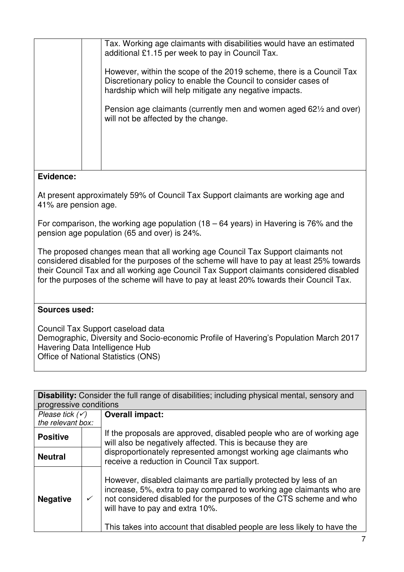|  | Tax. Working age claimants with disabilities would have an estimated<br>additional £1.15 per week to pay in Council Tax.                                                                           |
|--|----------------------------------------------------------------------------------------------------------------------------------------------------------------------------------------------------|
|  | However, within the scope of the 2019 scheme, there is a Council Tax<br>Discretionary policy to enable the Council to consider cases of<br>hardship which will help mitigate any negative impacts. |
|  | Pension age claimants (currently men and women aged 621/2 and over)<br>will not be affected by the change.                                                                                         |
|  |                                                                                                                                                                                                    |
|  |                                                                                                                                                                                                    |

 At present approximately 59% of Council Tax Support claimants are working age and 41% are pension age.

 For comparison, the working age population (18 – 64 years) in Havering is 76% and the pension age population (65 and over) is 24%.

 The proposed changes mean that all working age Council Tax Support claimants not considered disabled for the purposes of the scheme will have to pay at least 25% towards their Council Tax and all working age Council Tax Support claimants considered disabled for the purposes of the scheme will have to pay at least 20% towards their Council Tax.

#### **Sources used:**

 Council Tax Support caseload data Demographic, Diversity and Socio-economic Profile of Havering's Population March 2017 Havering Data Intelligence Hub Office of National Statistics (ONS)

 **Disability:** Consider the full range of disabilities; including physical mental, sensory and Please tick  $(\check{\mathsf{y}})$  the relevant box: If the proposals are approved, disabled people who are of working age will also be negatively affected. This is because they are progressive conditions **Overall impact: Positive** 

| <b>Neutral</b> | disproportionately represented amongst working age claimants who<br>receive a reduction in Council Tax support. |
|----------------|-----------------------------------------------------------------------------------------------------------------|
|                |                                                                                                                 |

| <b>Negative</b> | However, disabled claimants are partially protected by less of an<br>increase, 5%, extra to pay compared to working age claimants who are<br>not considered disabled for the purposes of the CTS scheme and who<br>will have to pay and extra 10%. |
|-----------------|----------------------------------------------------------------------------------------------------------------------------------------------------------------------------------------------------------------------------------------------------|
|                 | This takes into account that disabled people are less likely to have the                                                                                                                                                                           |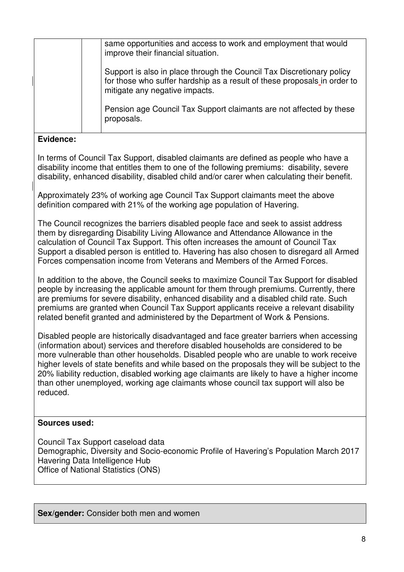| same opportunities and access to work and employment that would<br>improve their financial situation.                                                                               |
|-------------------------------------------------------------------------------------------------------------------------------------------------------------------------------------|
| Support is also in place through the Council Tax Discretionary policy<br>for those who suffer hardship as a result of these proposals in order to<br>mitigate any negative impacts. |
| Pension age Council Tax Support claimants are not affected by these<br>proposals.                                                                                                   |

 In terms of Council Tax Support, disabled claimants are defined as people who have a disability income that entitles them to one of the following premiums: disability, severe disability, enhanced disability, disabled child and/or carer when calculating their benefit.

 Approximately 23% of working age Council Tax Support claimants meet the above definition compared with 21% of the working age population of Havering.

 The Council recognizes the barriers disabled people face and seek to assist address them by disregarding Disability Living Allowance and Attendance Allowance in the calculation of Council Tax Support. This often increases the amount of Council Tax Support a disabled person is entitled to. Havering has also chosen to disregard all Armed Forces compensation income from Veterans and Members of the Armed Forces.

 In addition to the above, the Council seeks to maximize Council Tax Support for disabled people by increasing the applicable amount for them through premiums. Currently, there are premiums for severe disability, enhanced disability and a disabled child rate. Such premiums are granted when Council Tax Support applicants receive a relevant disability related benefit granted and administered by the Department of Work & Pensions.

 Disabled people are historically disadvantaged and face greater barriers when accessing (information about) services and therefore disabled households are considered to be more vulnerable than other households. Disabled people who are unable to work receive higher levels of state benefits and while based on the proposals they will be subject to the 20% liability reduction, disabled working age claimants are likely to have a higher income than other unemployed, working age claimants whose council tax support will also be reduced.

#### **Sources used:**

 Council Tax Support caseload data Demographic, Diversity and Socio-economic Profile of Havering's Population March 2017 Havering Data Intelligence Hub Office of National Statistics (ONS)

**Sex/gender:** Consider both men and women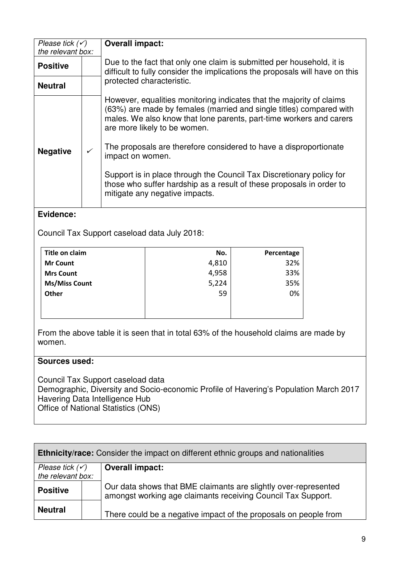| Please tick $(\checkmark)$ |              | <b>Overall impact:</b>                                                                                                                                                                                                                             |  |  |
|----------------------------|--------------|----------------------------------------------------------------------------------------------------------------------------------------------------------------------------------------------------------------------------------------------------|--|--|
| the relevant box:          |              |                                                                                                                                                                                                                                                    |  |  |
| <b>Positive</b>            |              | Due to the fact that only one claim is submitted per household, it is<br>difficult to fully consider the implications the proposals will have on this                                                                                              |  |  |
| <b>Neutral</b>             |              | protected characteristic.                                                                                                                                                                                                                          |  |  |
| <b>Negative</b>            | $\checkmark$ | However, equalities monitoring indicates that the majority of claims<br>(63%) are made by females (married and single titles) compared with<br>males. We also know that lone parents, part-time workers and carers<br>are more likely to be women. |  |  |
|                            |              | The proposals are therefore considered to have a disproportionate<br>impact on women.                                                                                                                                                              |  |  |
|                            |              | Support is in place through the Council Tax Discretionary policy for<br>those who suffer hardship as a result of these proposals in order to<br>mitigate any negative impacts.                                                                     |  |  |

Council Tax Support caseload data July 2018:

| Title on claim       | No.   | Percentage |
|----------------------|-------|------------|
| <b>Mr Count</b>      | 4,810 | 32%        |
| <b>Mrs Count</b>     | 4,958 | 33%        |
| <b>Ms/Miss Count</b> | 5,224 | 35%        |
| Other                | 59    | 0%         |
|                      |       |            |
|                      |       |            |

 From the above table it is seen that in total 63% of the household claims are made by women.

#### **Sources used:**

 Council Tax Support caseload data Demographic, Diversity and Socio-economic Profile of Havering's Population March 2017 Havering Data Intelligence Hub Office of National Statistics (ONS)

| <b>Ethnicity/race:</b> Consider the impact on different ethnic groups and nationalities |  |                                                                                                                                 |  |
|-----------------------------------------------------------------------------------------|--|---------------------------------------------------------------------------------------------------------------------------------|--|
| Please tick $(\checkmark)$                                                              |  | <b>Overall impact:</b>                                                                                                          |  |
| the relevant box:                                                                       |  |                                                                                                                                 |  |
| <b>Positive</b>                                                                         |  | Our data shows that BME claimants are slightly over-represented<br>amongst working age claimants receiving Council Tax Support. |  |
| <b>Neutral</b>                                                                          |  | There could be a negative impact of the proposals on people from                                                                |  |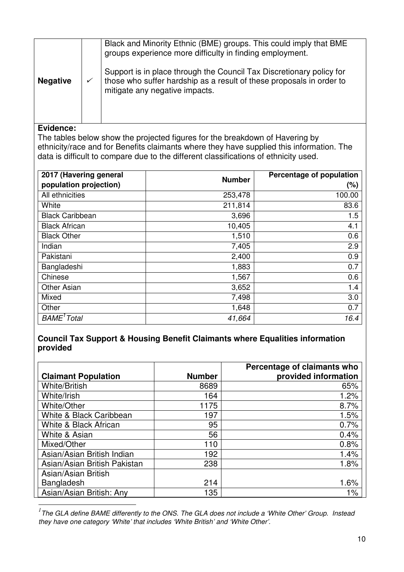|                 |   | Black and Minority Ethnic (BME) groups. This could imply that BME<br>groups experience more difficulty in finding employment.                                                  |  |
|-----------------|---|--------------------------------------------------------------------------------------------------------------------------------------------------------------------------------|--|
| <b>Negative</b> | ✓ | Support is in place through the Council Tax Discretionary policy for<br>those who suffer hardship as a result of these proposals in order to<br>mitigate any negative impacts. |  |
|                 |   |                                                                                                                                                                                |  |

 $\overline{a}$ 

 The tables below show the projected figures for the breakdown of Havering by ethnicity/race and for Benefits claimants where they have supplied this information. The data is difficult to compare due to the different classifications of ethnicity used.

| 2017 (Havering general<br>population projection) | <b>Number</b> | Percentage of population<br>$(\%)$ |
|--------------------------------------------------|---------------|------------------------------------|
| All ethnicities                                  | 253,478       | 100.00                             |
| White                                            | 211,814       | 83.6                               |
| <b>Black Caribbean</b>                           | 3,696         | 1.5                                |
| <b>Black African</b>                             | 10,405        | 4.1                                |
| <b>Black Other</b>                               | 1,510         | 0.6                                |
| Indian                                           | 7,405         | 2.9                                |
| Pakistani                                        | 2,400         | 0.9                                |
| Bangladeshi                                      | 1,883         | 0.7                                |
| Chinese                                          | 1,567         | 0.6                                |
| <b>Other Asian</b>                               | 3,652         | 1.4                                |
| Mixed                                            | 7,498         | 3.0                                |
| Other                                            | 1,648         | 0.7                                |
| BAME <sup>1</sup> Total                          | 41,664        | 16.4                               |

#### **Council Tax Support & Housing Benefit Claimants where Equalities information provided**

| <b>Claimant Population</b>   | <b>Number</b> | Percentage of claimants who<br>provided information |
|------------------------------|---------------|-----------------------------------------------------|
| <b>White/British</b>         | 8689          | 65%                                                 |
| White/Irish                  | 164           | 1.2%                                                |
| White/Other                  | 1175          | 8.7%                                                |
| White & Black Caribbean      | 197           | 1.5%                                                |
| White & Black African        | 95            | 0.7%                                                |
| White & Asian                | 56            | 0.4%                                                |
| Mixed/Other                  | 110           | 0.8%                                                |
| Asian/Asian British Indian   | 192           | 1.4%                                                |
| Asian/Asian British Pakistan | 238           | 1.8%                                                |
| Asian/Asian British          |               |                                                     |
| Bangladesh                   | 214           | 1.6%                                                |
| Asian/Asian British: Any     | 135           | $1\%$                                               |

 *1* The GLA define BAME differently to the ONS. The GLA does not include a 'White Other' Group. Instead they have one category 'White' that includes 'White British' and 'White Other'.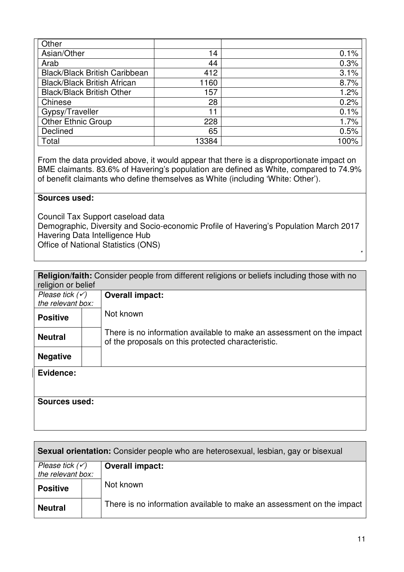| Other                                |       |      |
|--------------------------------------|-------|------|
| Asian/Other                          | 14    | 0.1% |
| Arab                                 | 44    | 0.3% |
| <b>Black/Black British Caribbean</b> | 412   | 3.1% |
| <b>Black/Black British African</b>   | 1160  | 8.7% |
| <b>Black/Black British Other</b>     | 157   | 1.2% |
| Chinese                              | 28    | 0.2% |
| Gypsy/Traveller                      | 11    | 0.1% |
| <b>Other Ethnic Group</b>            | 228   | 1.7% |
| Declined                             | 65    | 0.5% |
| Total                                | 13384 | 100% |

 From the data provided above, it would appear that there is a disproportionate impact on BME claimants. 83.6% of Havering's population are defined as White, compared to 74.9% of benefit claimants who define themselves as White (including 'White: Other').

#### **Sources used:**

 Council Tax Support caseload data Demographic, Diversity and Socio-economic Profile of Havering's Population March 2017 Havering Data Intelligence Hub Office of National Statistics (ONS)

|                            | <b>Religion/faith:</b> Consider people from different religions or beliefs including those with no                          |
|----------------------------|-----------------------------------------------------------------------------------------------------------------------------|
| religion or belief         |                                                                                                                             |
| Please tick $(\checkmark)$ | <b>Overall impact:</b>                                                                                                      |
| the relevant box:          |                                                                                                                             |
|                            |                                                                                                                             |
| <b>Positive</b>            | Not known                                                                                                                   |
| <b>Neutral</b>             | There is no information available to make an assessment on the impact<br>of the proposals on this protected characteristic. |
| <b>Negative</b>            |                                                                                                                             |
| Evidence:                  |                                                                                                                             |
| Sources used:              |                                                                                                                             |

| <b>Sexual orientation:</b> Consider people who are heterosexual, lesbian, gay or bisexual |  |                        |  |  |
|-------------------------------------------------------------------------------------------|--|------------------------|--|--|
| Please tick $(\checkmark)$                                                                |  | <b>Overall impact:</b> |  |  |
| the relevant box:                                                                         |  |                        |  |  |
| <b>Positive</b>                                                                           |  | Not known              |  |  |
| There is no information available to make an assessment on the impact<br><b>Neutral</b>   |  |                        |  |  |

\*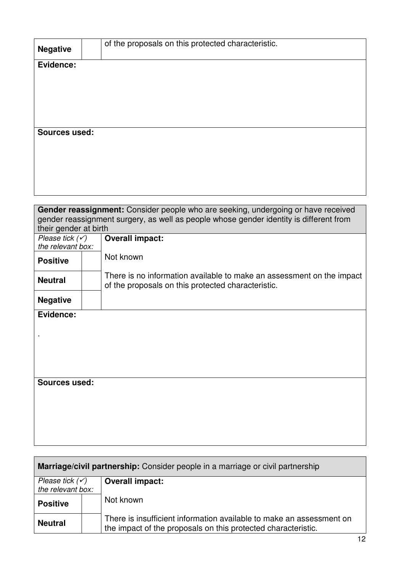| <b>Negative</b>                            | of the proposals on this protected characteristic.                                                                          |
|--------------------------------------------|-----------------------------------------------------------------------------------------------------------------------------|
| Evidence:                                  |                                                                                                                             |
|                                            |                                                                                                                             |
|                                            |                                                                                                                             |
|                                            |                                                                                                                             |
|                                            |                                                                                                                             |
| <b>Sources used:</b>                       |                                                                                                                             |
|                                            |                                                                                                                             |
|                                            |                                                                                                                             |
|                                            |                                                                                                                             |
|                                            |                                                                                                                             |
|                                            | Gender reassignment: Consider people who are seeking, undergoing or have received                                           |
|                                            | gender reassignment surgery, as well as people whose gender identity is different from                                      |
| their gender at birth<br>Please tick $(v)$ |                                                                                                                             |
| the relevant box:                          | <b>Overall impact:</b>                                                                                                      |
| <b>Positive</b>                            | Not known                                                                                                                   |
| <b>Neutral</b>                             | There is no information available to make an assessment on the impact<br>of the proposals on this protected characteristic. |
| <b>Negative</b>                            |                                                                                                                             |
| Evidence:                                  |                                                                                                                             |
|                                            |                                                                                                                             |
|                                            |                                                                                                                             |
|                                            |                                                                                                                             |
|                                            |                                                                                                                             |
| <b>Sources used:</b>                       |                                                                                                                             |
|                                            |                                                                                                                             |
|                                            |                                                                                                                             |
|                                            |                                                                                                                             |
|                                            |                                                                                                                             |

| Marriage/civil partnership: Consider people in a marriage or civil partnership                                                                          |                        |  |  |  |  |
|---------------------------------------------------------------------------------------------------------------------------------------------------------|------------------------|--|--|--|--|
| Please tick $(\checkmark)$                                                                                                                              | <b>Overall impact:</b> |  |  |  |  |
| the relevant box:                                                                                                                                       |                        |  |  |  |  |
| <b>Positive</b>                                                                                                                                         | Not known              |  |  |  |  |
| There is insufficient information available to make an assessment on<br><b>Neutral</b><br>the impact of the proposals on this protected characteristic. |                        |  |  |  |  |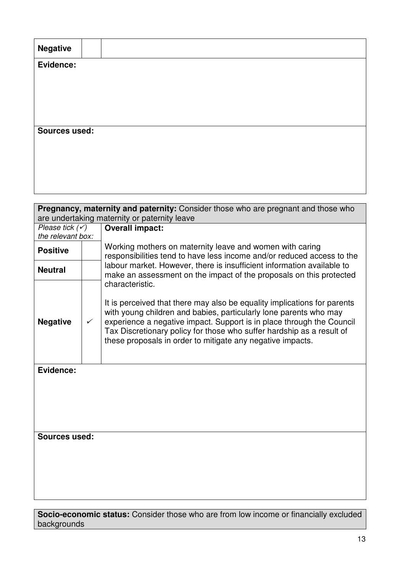| <b>Negative</b> |  |  |  |
|-----------------|--|--|--|
| Evidence:       |  |  |  |
|                 |  |  |  |
|                 |  |  |  |
|                 |  |  |  |
| Sources used:   |  |  |  |
|                 |  |  |  |
|                 |  |  |  |
|                 |  |  |  |

| Pregnancy, maternity and paternity: Consider those who are pregnant and those who |              |                                                                                                                                                                                                                                                                                                                                                                                  |  |  |  |  |
|-----------------------------------------------------------------------------------|--------------|----------------------------------------------------------------------------------------------------------------------------------------------------------------------------------------------------------------------------------------------------------------------------------------------------------------------------------------------------------------------------------|--|--|--|--|
| are undertaking maternity or paternity leave                                      |              |                                                                                                                                                                                                                                                                                                                                                                                  |  |  |  |  |
| Please tick $(v)$<br>the relevant box:                                            |              | <b>Overall impact:</b>                                                                                                                                                                                                                                                                                                                                                           |  |  |  |  |
| <b>Positive</b>                                                                   |              | Working mothers on maternity leave and women with caring<br>responsibilities tend to have less income and/or reduced access to the                                                                                                                                                                                                                                               |  |  |  |  |
| <b>Neutral</b>                                                                    |              | labour market. However, there is insufficient information available to<br>make an assessment on the impact of the proposals on this protected                                                                                                                                                                                                                                    |  |  |  |  |
| <b>Negative</b>                                                                   | $\checkmark$ | characteristic.<br>It is perceived that there may also be equality implications for parents<br>with young children and babies, particularly lone parents who may<br>experience a negative impact. Support is in place through the Council<br>Tax Discretionary policy for those who suffer hardship as a result of<br>these proposals in order to mitigate any negative impacts. |  |  |  |  |
| Evidence:                                                                         |              |                                                                                                                                                                                                                                                                                                                                                                                  |  |  |  |  |
| Sources used:                                                                     |              |                                                                                                                                                                                                                                                                                                                                                                                  |  |  |  |  |

 **Socio-economic status:** Consider those who are from low income or financially excluded backgrounds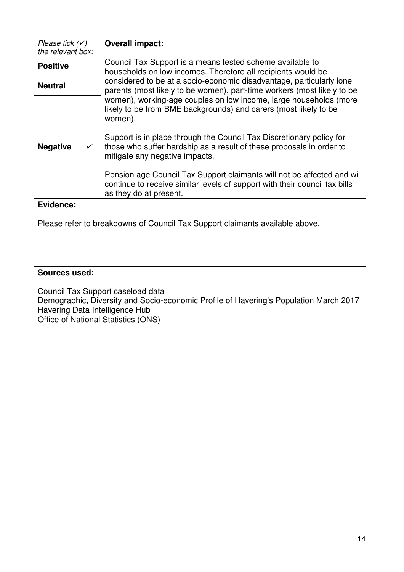| Please tick $(\checkmark)$                                                   |              | <b>Overall impact:</b>                                                                                                                                                          |  |  |  |  |
|------------------------------------------------------------------------------|--------------|---------------------------------------------------------------------------------------------------------------------------------------------------------------------------------|--|--|--|--|
| the relevant box:                                                            |              |                                                                                                                                                                                 |  |  |  |  |
| <b>Positive</b>                                                              |              | Council Tax Support is a means tested scheme available to<br>households on low incomes. Therefore all recipients would be                                                       |  |  |  |  |
| <b>Neutral</b>                                                               |              | considered to be at a socio-economic disadvantage, particularly lone<br>parents (most likely to be women), part-time workers (most likely to be                                 |  |  |  |  |
|                                                                              |              | women), working-age couples on low income, large households (more<br>likely to be from BME backgrounds) and carers (most likely to be<br>women).                                |  |  |  |  |
| <b>Negative</b>                                                              | $\checkmark$ | Support is in place through the Council Tax Discretionary policy for<br>those who suffer hardship as a result of these proposals in order to<br>mitigate any negative impacts.  |  |  |  |  |
|                                                                              |              | Pension age Council Tax Support claimants will not be affected and will<br>continue to receive similar levels of support with their council tax bills<br>as they do at present. |  |  |  |  |
| Evidence:                                                                    |              |                                                                                                                                                                                 |  |  |  |  |
| Please refer to breakdowns of Council Tax Support claimants available above. |              |                                                                                                                                                                                 |  |  |  |  |
| Sources used:                                                                |              |                                                                                                                                                                                 |  |  |  |  |
|                                                                              |              |                                                                                                                                                                                 |  |  |  |  |
|                                                                              |              | Council Tax Support caseload data<br>Demographic, Diversity and Socio-economic Profile of Havering's Population March 2017                                                      |  |  |  |  |

Havering Data Intelligence Hub Office of National Statistics (ONS)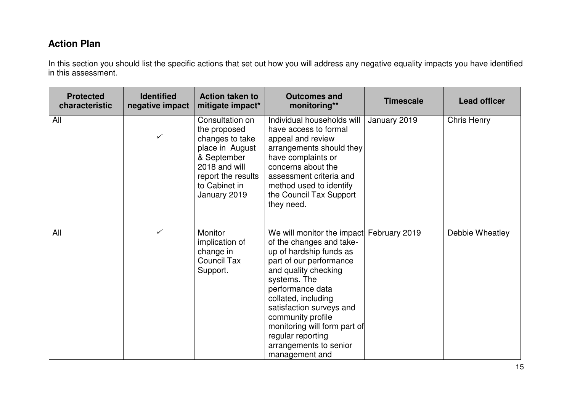### **Action Plan**

In this section you should list the specific actions that set out how you will address any negative equality impacts you have identified in this assessment.

| <b>Protected</b><br>characteristic | <b>Identified</b><br>negative impact | <b>Action taken to</b><br>mitigate impact*                                                                                                                   | <b>Outcomes and</b><br>monitoring**                                                                                                                                                                                                                                                                                                               | <b>Timescale</b> | <b>Lead officer</b> |
|------------------------------------|--------------------------------------|--------------------------------------------------------------------------------------------------------------------------------------------------------------|---------------------------------------------------------------------------------------------------------------------------------------------------------------------------------------------------------------------------------------------------------------------------------------------------------------------------------------------------|------------------|---------------------|
| All                                | $\checkmark$                         | Consultation on<br>the proposed<br>changes to take<br>place in August<br>& September<br>2018 and will<br>report the results<br>to Cabinet in<br>January 2019 | Individual households will<br>have access to formal<br>appeal and review<br>arrangements should they<br>have complaints or<br>concerns about the<br>assessment criteria and<br>method used to identify<br>the Council Tax Support<br>they need.                                                                                                   | January 2019     | Chris Henry         |
| All                                | ✓                                    | Monitor<br>implication of<br>change in<br><b>Council Tax</b><br>Support.                                                                                     | We will monitor the impact<br>of the changes and take-<br>up of hardship funds as<br>part of our performance<br>and quality checking<br>systems. The<br>performance data<br>collated, including<br>satisfaction surveys and<br>community profile<br>monitoring will form part of<br>regular reporting<br>arrangements to senior<br>management and | February 2019    | Debbie Wheatley     |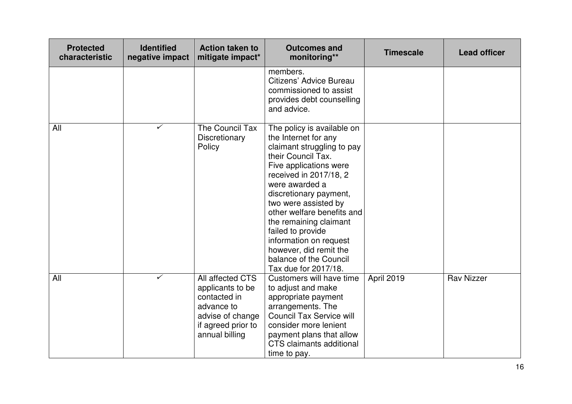| <b>Protected</b><br>characteristic | <b>Identified</b><br>negative impact | <b>Action taken to</b><br>mitigate impact*                                                                                     | <b>Outcomes and</b><br>monitoring**                                                                                                                                                                                                                                                                                                                                                                               | <b>Timescale</b> | <b>Lead officer</b> |
|------------------------------------|--------------------------------------|--------------------------------------------------------------------------------------------------------------------------------|-------------------------------------------------------------------------------------------------------------------------------------------------------------------------------------------------------------------------------------------------------------------------------------------------------------------------------------------------------------------------------------------------------------------|------------------|---------------------|
|                                    |                                      |                                                                                                                                | members.<br>Citizens' Advice Bureau<br>commissioned to assist<br>provides debt counselling<br>and advice.                                                                                                                                                                                                                                                                                                         |                  |                     |
| All                                | $\checkmark$                         | The Council Tax<br>Discretionary<br>Policy                                                                                     | The policy is available on<br>the Internet for any<br>claimant struggling to pay<br>their Council Tax.<br>Five applications were<br>received in 2017/18, 2<br>were awarded a<br>discretionary payment,<br>two were assisted by<br>other welfare benefits and<br>the remaining claimant<br>failed to provide<br>information on request<br>however, did remit the<br>balance of the Council<br>Tax due for 2017/18. |                  |                     |
| All                                | $\checkmark$                         | All affected CTS<br>applicants to be<br>contacted in<br>advance to<br>advise of change<br>if agreed prior to<br>annual billing | Customers will have time<br>to adjust and make<br>appropriate payment<br>arrangements. The<br><b>Council Tax Service will</b><br>consider more lenient<br>payment plans that allow<br><b>CTS</b> claimants additional<br>time to pay.                                                                                                                                                                             | April 2019       | <b>Rav Nizzer</b>   |